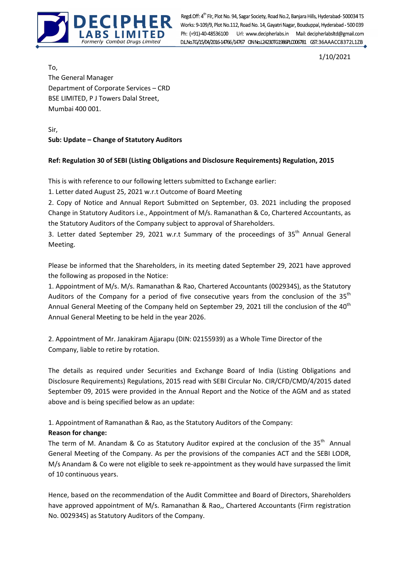

Formerly Combat Drugs Limited Regd.Off: 4<sup>th</sup> Flr, Plot No. 94, Sagar Society, Road No.2, Banjara Hills, Hyderabad- 500034 TS<br>Works: 9-109/9, Plot No.112, Road No. 14, Gayatri Nagar, Bouduppal, Hyderabad - 500 039 Ph: (+91)-40-48536100 Url: www.decipherlabs.in Mail: decipherlabsltd@gmail.com

1/10/2021

To, The General Manager Department of Corporate Services – CRD BSE LIMITED, P J Towers Dalal Street, Mumbai 400 001.

Sir, Sub: Update – Change of Statutory Auditors

## Ref: Regulation 30 of SEBI (Listing Obligations and Disclosure Requirements) Regulation, 2015

This is with reference to our following letters submitted to Exchange earlier:

1. Letter dated August 25, 2021 w.r.t Outcome of Board Meeting

2. Copy of Notice and Annual Report Submitted on September, 03. 2021 including the proposed Change in Statutory Auditors i.e., Appointment of M/s. Ramanathan & Co, Chartered Accountants, as the Statutory Auditors of the Company subject to approval of Shareholders.

3. Letter dated September 29, 2021 w.r.t Summary of the proceedings of  $35<sup>th</sup>$  Annual General Meeting.

Please be informed that the Shareholders, in its meeting dated September 29, 2021 have approved the following as proposed in the Notice:

1. Appointment of M/s. M/s. Ramanathan & Rao, Chartered Accountants (002934S), as the Statutory Auditors of the Company for a period of five consecutive years from the conclusion of the  $35<sup>th</sup>$ Annual General Meeting of the Company held on September 29, 2021 till the conclusion of the 40<sup>th</sup> Annual General Meeting to be held in the year 2026.

2. Appointment of Mr. Janakiram Ajjarapu (DIN: 02155939) as a Whole Time Director of the Company, liable to retire by rotation.

The details as required under Securities and Exchange Board of India (Listing Obligations and Disclosure Requirements) Regulations, 2015 read with SEBI Circular No. CIR/CFD/CMD/4/2015 dated September 09, 2015 were provided in the Annual Report and the Notice of the AGM and as stated above and is being specified below as an update:

1. Appointment of Ramanathan & Rao, as the Statutory Auditors of the Company:

## Reason for change:

The term of M. Anandam & Co as Statutory Auditor expired at the conclusion of the  $35<sup>th</sup>$  Annual General Meeting of the Company. As per the provisions of the companies ACT and the SEBI LODR, M/s Anandam & Co were not eligible to seek re-appointment as they would have surpassed the limit of 10 continuous years.

Hence, based on the recommendation of the Audit Committee and Board of Directors, Shareholders have approved appointment of M/s. Ramanathan & Rao,, Chartered Accountants (Firm registration No. 002934S) as Statutory Auditors of the Company.